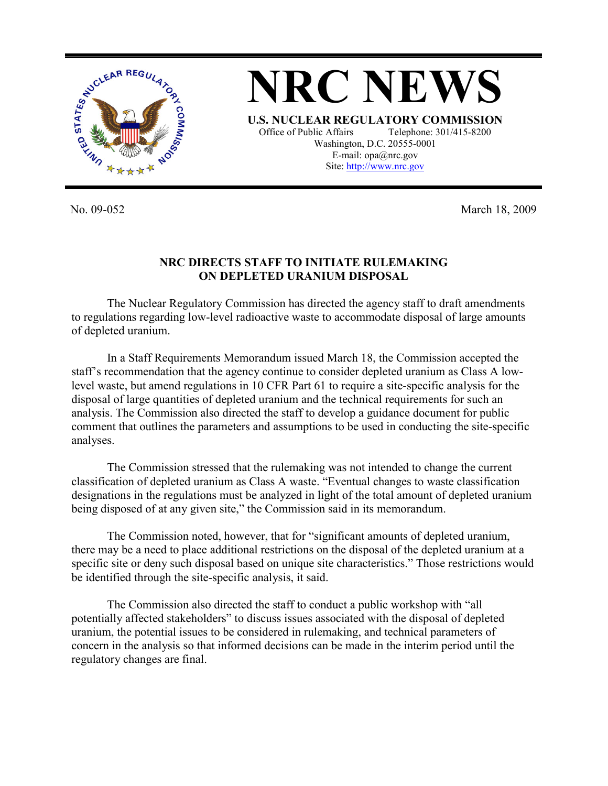

**NRC NEWS U.S. NUCLEAR REGULATORY COMMISSION** Office of Public Affairs Telephone: 301/415-8200 Washington, D.C. 20555-0001 E-mail: opa@nrc.gov Site: http://www.nrc.gov

No. 09-052 March 18, 2009

## **NRC DIRECTS STAFF TO INITIATE RULEMAKING ON DEPLETED URANIUM DISPOSAL**

 The Nuclear Regulatory Commission has directed the agency staff to draft amendments to regulations regarding low-level radioactive waste to accommodate disposal of large amounts of depleted uranium.

 In a Staff Requirements Memorandum issued March 18, the Commission accepted the staff's recommendation that the agency continue to consider depleted uranium as Class A lowlevel waste, but amend regulations in 10 CFR Part 61 to require a site-specific analysis for the disposal of large quantities of depleted uranium and the technical requirements for such an analysis. The Commission also directed the staff to develop a guidance document for public comment that outlines the parameters and assumptions to be used in conducting the site-specific analyses.

 The Commission stressed that the rulemaking was not intended to change the current classification of depleted uranium as Class A waste. "Eventual changes to waste classification designations in the regulations must be analyzed in light of the total amount of depleted uranium being disposed of at any given site," the Commission said in its memorandum.

 The Commission noted, however, that for "significant amounts of depleted uranium, there may be a need to place additional restrictions on the disposal of the depleted uranium at a specific site or deny such disposal based on unique site characteristics." Those restrictions would be identified through the site-specific analysis, it said.

 The Commission also directed the staff to conduct a public workshop with "all potentially affected stakeholders" to discuss issues associated with the disposal of depleted uranium, the potential issues to be considered in rulemaking, and technical parameters of concern in the analysis so that informed decisions can be made in the interim period until the regulatory changes are final.